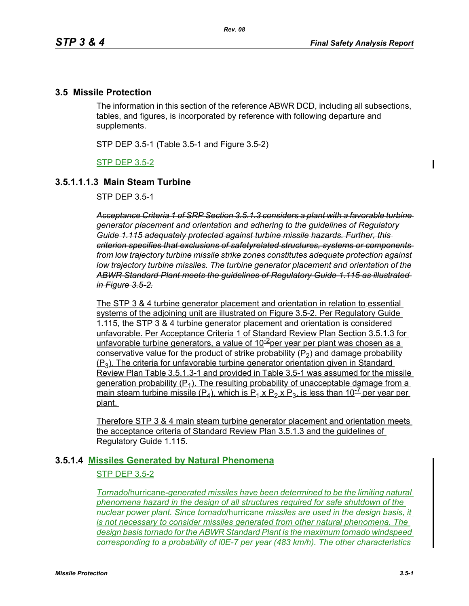## **3.5 Missile Protection**

The information in this section of the reference ABWR DCD, including all subsections, tables, and figures, is incorporated by reference with following departure and supplements.

STP DEP 3.5-1 (Table 3.5-1 and Figure 3.5-2)

STP DEP 3.5-2

### **3.5.1.1.1.3 Main Steam Turbine**

STP DEP 3.5-1

*Acceptance Criteria 1 of SRP Section 3.5.1.3 considers a plant with a favorable turbine generator placement and orientation and adhering to the guidelines of Regulatory Guide 1.115 adequately protected against turbine missile hazards. Further, this criterion specifies that exclusions of safetyrelated structures, systems or components from low trajectory turbine missile strike zones constitutes adequate protection against low trajectory turbine missiles. The turbine generator placement and orientation of the ABWR Standard Plant meets the guidelines of Regulatory Guide 1.115 as illustrated in Figure 3.5-2.*

The STP 3 & 4 turbine generator placement and orientation in relation to essential systems of the adjoining unit are illustrated on Figure 3.5-2. Per Regulatory Guide 1.115, the STP 3 & 4 turbine generator placement and orientation is considered unfavorable. Per Acceptance Criteria 1 of Standard Review Plan Section 3.5.1.3 for unfavorable turbine generators, a value of  $10^{-2}$ per year per plant was chosen as a conservative value for the product of strike probability  $(P_2)$  and damage probability  $(P_3)$ . The criteria for unfavorable turbine generator orientation given in Standard Review Plan Table 3.5.1.3-1 and provided in Table 3.5-1 was assumed for the missile generation probability  $(P_1)$ . The resulting probability of unacceptable damage from a main steam turbine missile (P<sub>4</sub>), which is P<sub>1</sub> x P<sub>2</sub> x P<sub>3</sub>, is less than 10<sup>-7</sup> per year per plant.

Therefore STP 3 & 4 main steam turbine generator placement and orientation meets the acceptance criteria of Standard Review Plan 3.5.1.3 and the guidelines of Regulatory Guide 1.115.

#### **3.5.1.4 Missiles Generated by Natural Phenomena**

#### STP DEP 3.5-2

*Tornado*/hurricane*-generated missiles have been determined to be the limiting natural phenomena hazard in the design of all structures required for safe shutdown of the nuclear power plant. Since tornado*/hurricane *missiles are used in the design basis, it is not necessary to consider missiles generated from other natural phenomena. The design basis tornado for the ABWR Standard Plant is the maximum tornado windspeed corresponding to a probability of l0E-7 per year (483 km/h). The other characteristics*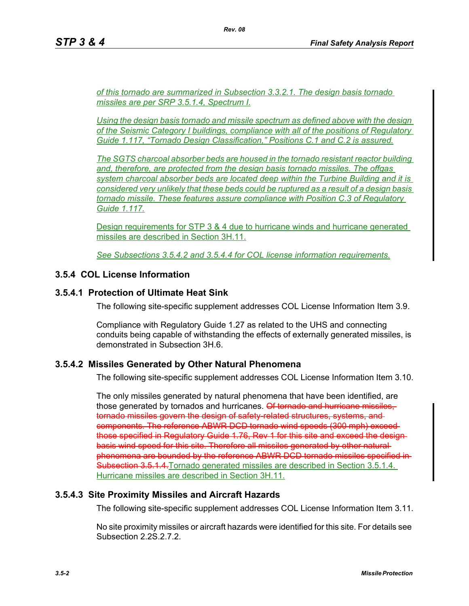*of this tornado are summarized in Subsection 3.3.2.1. The design basis tornado missiles are per SRP 3.5.1.4, Spectrum I.*

*Using the design basis tornado and missile spectrum as defined above with the design of the Seismic Category I buildings, compliance with all of the positions of Regulatory Guide 1.117, "Tornado Design Classification," Positions C.1 and C.2 is assured.*

*The SGTS charcoal absorber beds are housed in the tornado resistant reactor building and, therefore, are protected from the design basis tornado missiles. The offgas system charcoal absorber beds are located deep within the Turbine Building and it is considered very unlikely that these beds could be ruptured as a result of a design basis tornado missile. These features assure compliance with Position C.3 of Regulatory Guide 1.117.*

Design requirements for STP 3 & 4 due to hurricane winds and hurricane generated missiles are described in Section 3H.11.

*See Subsections 3.5.4.2 and 3.5.4.4 for COL license information requirements.*

# **3.5.4 COL License Information**

### **3.5.4.1 Protection of Ultimate Heat Sink**

The following site-specific supplement addresses COL License Information Item 3.9.

Compliance with Regulatory Guide 1.27 as related to the UHS and connecting conduits being capable of withstanding the effects of externally generated missiles, is demonstrated in Subsection 3H.6.

#### **3.5.4.2 Missiles Generated by Other Natural Phenomena**

The following site-specific supplement addresses COL License Information Item 3.10.

The only missiles generated by natural phenomena that have been identified, are those generated by tornados and hurricanes. Of tornado and hurricane missiles, tornado missiles govern the design of safety-related structures, systems, and components. The reference ABWR DCD tornado wind speeds (300 mph) exceed those specified in Regulatory Guide 1.76, Rey 1 for this site and exceed the designbasis wind speed for this site. Therefore all missiles generated by other naturalphenomena are bounded by the reference ABWR DCD tornado missiles specified in Subsection 3.5.1.4. Tornado generated missiles are described in Section 3.5.1.4. Hurricane missiles are described in Section 3H.11.

#### **3.5.4.3 Site Proximity Missiles and Aircraft Hazards**

The following site-specific supplement addresses COL License Information Item 3.11.

No site proximity missiles or aircraft hazards were identified for this site. For details see Subsection 2.2S.2.7.2.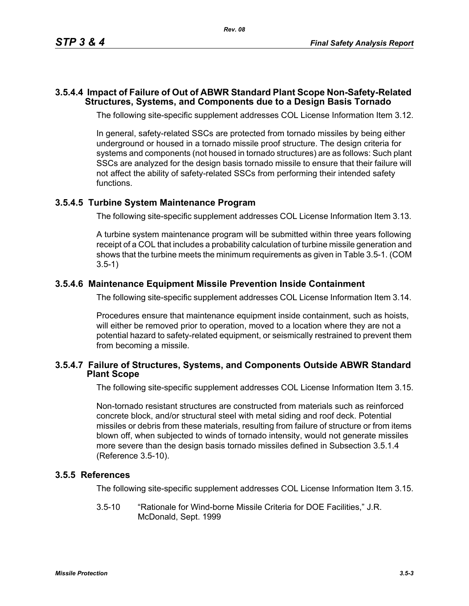#### **3.5.4.4 Impact of Failure of Out of ABWR Standard Plant Scope Non-Safety-Related Structures, Systems, and Components due to a Design Basis Tornado**

The following site-specific supplement addresses COL License Information Item 3.12.

In general, safety-related SSCs are protected from tornado missiles by being either underground or housed in a tornado missile proof structure. The design criteria for systems and components (not housed in tornado structures) are as follows: Such plant SSCs are analyzed for the design basis tornado missile to ensure that their failure will not affect the ability of safety-related SSCs from performing their intended safety functions.

### **3.5.4.5 Turbine System Maintenance Program**

The following site-specific supplement addresses COL License Information Item 3.13.

A turbine system maintenance program will be submitted within three years following receipt of a COL that includes a probability calculation of turbine missile generation and shows that the turbine meets the minimum requirements as given in Table 3.5-1. (COM 3.5-1)

### **3.5.4.6 Maintenance Equipment Missile Prevention Inside Containment**

The following site-specific supplement addresses COL License Information Item 3.14.

Procedures ensure that maintenance equipment inside containment, such as hoists, will either be removed prior to operation, moved to a location where they are not a potential hazard to safety-related equipment, or seismically restrained to prevent them from becoming a missile.

#### **3.5.4.7 Failure of Structures, Systems, and Components Outside ABWR Standard Plant Scope**

The following site-specific supplement addresses COL License Information Item 3.15.

Non-tornado resistant structures are constructed from materials such as reinforced concrete block, and/or structural steel with metal siding and roof deck. Potential missiles or debris from these materials, resulting from failure of structure or from items blown off, when subjected to winds of tornado intensity, would not generate missiles more severe than the design basis tornado missiles defined in Subsection 3.5.1.4 (Reference 3.5-10).

#### **3.5.5 References**

The following site-specific supplement addresses COL License Information Item 3.15.

3.5-10 "Rationale for Wind-borne Missile Criteria for DOE Facilities," J.R. McDonald, Sept. 1999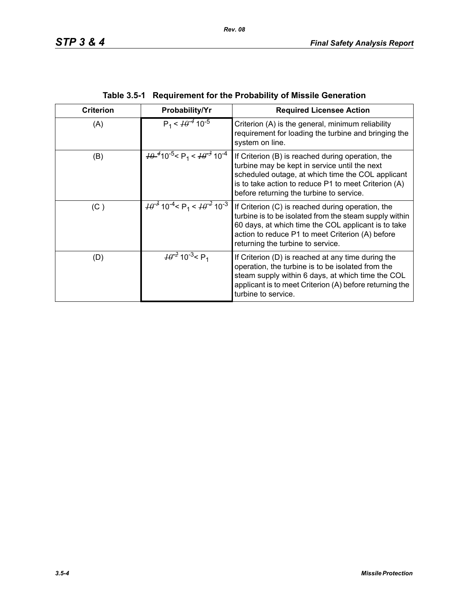| <b>Criterion</b> | Probability/Yr                                                                          | <b>Required Licensee Action</b>                                                                                                                                                                                                                             |
|------------------|-----------------------------------------------------------------------------------------|-------------------------------------------------------------------------------------------------------------------------------------------------------------------------------------------------------------------------------------------------------------|
| (A)              | $P_1 < \frac{10^{-4}}{10^{-5}}$                                                         | Criterion (A) is the general, minimum reliability<br>requirement for loading the turbine and bringing the<br>system on line.                                                                                                                                |
| (B)              | $\frac{10^{-4}}{10^{-5}}$ < P <sub>1</sub> < $\frac{10^{-3}}{10^{-4}}$ 10 <sup>-4</sup> | If Criterion (B) is reached during operation, the<br>turbine may be kept in service until the next<br>scheduled outage, at which time the COL applicant<br>is to take action to reduce P1 to meet Criterion (A)<br>before returning the turbine to service. |
| (C)              | $\frac{10^{-3}}{10^{-4}}$ < P <sub>1</sub> < $\frac{10^{-2}}{10^{-3}}$                  | If Criterion (C) is reached during operation, the<br>turbine is to be isolated from the steam supply within<br>60 days, at which time the COL applicant is to take<br>action to reduce P1 to meet Criterion (A) before<br>returning the turbine to service. |
| (D)              | $\frac{10^{-2}}{2}$ 10 <sup>-3</sup> < P <sub>1</sub>                                   | If Criterion (D) is reached at any time during the<br>operation, the turbine is to be isolated from the<br>steam supply within 6 days, at which time the COL<br>applicant is to meet Criterion (A) before returning the<br>turbine to service.              |

| Table 3.5-1 Requirement for the Probability of Missile Generation |  |
|-------------------------------------------------------------------|--|
|                                                                   |  |